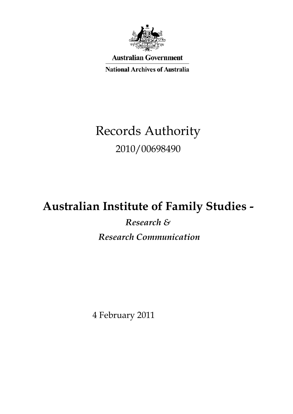

**Australian Government** 

**National Archives of Australia** 

# Records Authority 2010/00698490

# **Australian Institute of Family Studies -**

 *Research & Research Communication* 

4 February 2011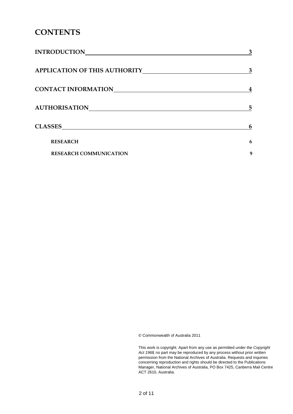### **CONTENTS**

| <b>INTRODUCTION</b>                  | 3 |
|--------------------------------------|---|
| <b>APPLICATION OF THIS AUTHORITY</b> | 3 |
| <b>CONTACT INFORMATION</b>           |   |
| <b>AUTHORISATION</b>                 | 5 |
| <b>CLASSES</b>                       | 6 |
| <b>RESEARCH</b>                      | 6 |
| <b>RESEARCH COMMUNICATION</b>        | 9 |

© Commonwealth of Australia 2011

This work is copyright. Apart from any use as permitted under the *Copyright Act 1968,* no part may be reproduced by any process without prior written permission from the National Archives of Australia. Requests and inquiries concerning reproduction and rights should be directed to the Publications Manager, National Archives of Australia, PO Box 7425, Canberra Mail Centre ACT 2610, Australia.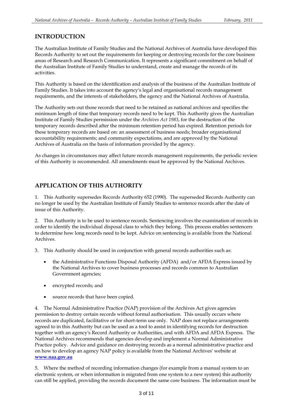### **INTRODUCTION**

 The Australian Institute of Family Studies and the National Archives of Australia have developed this Records Authority to set out the requirements for keeping or destroying records for the core business areas of Research and Research Communication. It represents a significant commitment on behalf of the Australian Institute of Family Studies to understand, create and manage the records of its activities.

 This Authority is based on the identification and analysis of the business of the Australian Institute of Family Studies. It takes into account the agency's legal and organisational records management requirements, and the interests of stakeholders, the agency and the National Archives of Australia.

 The Authority sets out those records that need to be retained as national archives and specifies the minimum length of time that temporary records need to be kept. This Authority gives the Australian Institute of Family Studies permission under the *Archives Act 1983*, for the destruction of the temporary records described after the minimum retention period has expired. Retention periods for these temporary records are based on: an assessment of business needs; broader organisational accountability requirements; and community expectations, and are approved by the National Archives of Australia on the basis of information provided by the agency.

 As changes in circumstances may affect future records management requirements, the periodic review of this Authority is recommended. All amendments must be approved by the National Archives.

### **APPLICATION OF THIS AUTHORITY**

 1. This Authority supersedes Records Authority 652 (1990). The superseded Records Authority can no longer be used by the Australian Institute of Family Studies to sentence records after the date of issue of this Authority.

 2. This Authority is to be used to sentence records. Sentencing involves the examination of records in order to identify the individual disposal class to which they belong. This process enables sentencers to determine how long records need to be kept. Advice on sentencing is available from the National Archives.

3. This Authority should be used in conjunction with general records authorities such as:

- the Administrative Functions Disposal Authority (AFDA) and/or AFDA Express issued by the National Archives to cover business processes and records common to Australian Government agencies;
- encrypted records; and
- source records that have been copied.

 4. The Normal Administrative Practice (NAP) provision of the Archives Act gives agencies permission to destroy certain records without formal authorisation. This usually occurs where records are duplicated, facilitative or for short-term use only. NAP does not replace arrangements agreed to in this Authority but can be used as a tool to assist in identifying records for destruction together with an agency's Record Authority or Authorities, and with AFDA and AFDA Express. The National Archives recommends that agencies develop and implement a Normal Administrative Practice policy. Advice and guidance on destroying records as a normal administrative practice and on how to develop an agency NAP policy is available from the National Archives' website at **[www.naa.gov.au](http://www.naa.gov.au/)** 

 5. Where the method of recording information changes (for example from a manual system to an electronic system, or when information is migrated from one system to a new system) this authority can still be applied, providing the records document the same core business. The information must be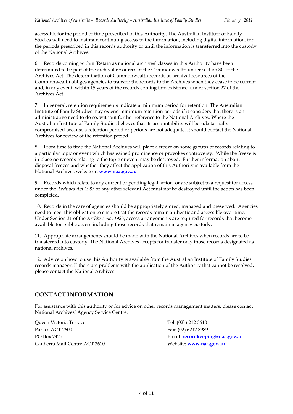accessible for the period of time prescribed in this Authority. The Australian Institute of Family Studies will need to maintain continuing access to the information, including digital information, for the periods prescribed in this records authority or until the information is transferred into the custody of the National Archives.

 6. Records coming within 'Retain as national archives' classes in this Authority have been determined to be part of the archival resources of the Commonwealth under section 3C of the Archives Act. The determination of Commonwealth records as archival resources of the Commonwealth obliges agencies to transfer the records to the Archives when they cease to be current and, in any event, within 15 years of the records coming into existence, under section 27 of the Archives Act.

 7. In general, retention requirements indicate a minimum period for retention. The Australian Institute of Family Studies may extend minimum retention periods if it considers that there is an administrative need to do so, without further reference to the National Archives. Where the Australian Institute of Family Studies believes that its accountability will be substantially compromised because a retention period or periods are not adequate, it should contact the National Archives for review of the retention period.

 8. From time to time the National Archives will place a freeze on some groups of records relating to a particular topic or event which has gained prominence or provokes controversy. While the freeze is in place no records relating to the topic or event may be destroyed. Further information about disposal freezes and whether they affect the application of this Authority is available from the National Archives website at **[www.naa.gov.au](http://www.naa.gov.au/)** 

 9. Records which relate to any current or pending legal action, or are subject to a request for access under the *Archives Act 1983* or any other relevant Act must not be destroyed until the action has been completed.

completed.<br>10. Records in the care of agencies should be appropriately stored, managed and preserved. Agencies need to meet this obligation to ensure that the records remain authentic and accessible over time. Under Section 31 of the *Archives Act 1983*, access arrangements are required for records that become available for public access including those records that remain in agency custody.

 11. Appropriate arrangements should be made with the National Archives when records are to be transferred into custody. The National Archives accepts for transfer only those records designated as national archives.

 12. Advice on how to use this Authority is available from the Australian Institute of Family Studies records manager. If there are problems with the application of the Authority that cannot be resolved, please contact the National Archives.

### **CONTACT INFORMATION**

 For assistance with this authority or for advice on other records management matters, please contact National Archives' Agency Service Centre.

PO Box 7425 Canberra Mail Centre ACT 2610 Queen Victoria Terrace Parkes ACT 2600 Fax: (02) 6212 3989

Tel: (02) 6212 3610 Email: **recordkeeping@naa.gov.au** Website: **www.naa.gov.au**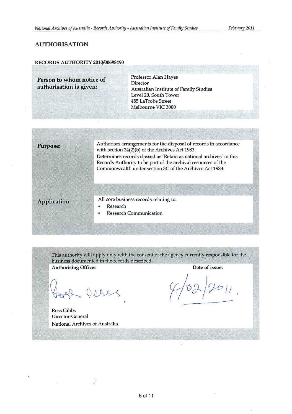#### AUTHORISATION

#### RECORDS AUTHORITY 2010/00698490

Person to whom notice of authorisation is given: Professor Alan Hayes Director Australian Institute of Family Studies Level 20, South Tower 485 LaTrobe Street Melbourne VIC 3000

| <b>Purpose:</b>     | Authorises arrangements for the disposal of records in accordance<br>with section 24(2)(b) of the Archives Act 1983.<br>Determines records classed as 'Retain as national archives' in this<br>Records Authority to be part of the archival resources of the<br>Commonwealth under section 3C of the Archives Act 1983. |
|---------------------|-------------------------------------------------------------------------------------------------------------------------------------------------------------------------------------------------------------------------------------------------------------------------------------------------------------------------|
| <b>Application:</b> | All core business records relating to:<br>Research<br>۰<br><b>Research Communication</b><br>۰                                                                                                                                                                                                                           |

This authority will apply only with the consent of the agency currently responsible for the business documented in the records described.

Authorising Officer Date of issue:

Ross Gibbs Director-General National Archives of Australia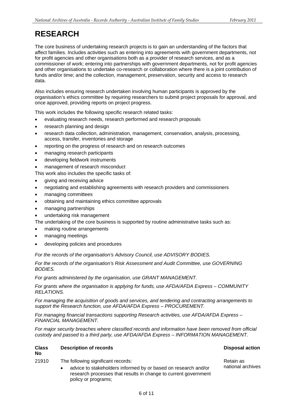### **RESEARCH**

 The core business of undertaking research projects is to gain an understanding of the factors that affect families. Includes activities such as entering into agreements with government departments, not for profit agencies and other organisations both as a provider of research services, and as a commissioner of work; entering into partnerships with government departments, not for profit agencies and other organisations to undertake co-research or collaboration where there is a joint contribution of funds and/or time; and the collection, management, preservation, security and access to research data.

 Also includes ensuring research undertaken involving human participants is approved by the organisation's ethics committee by requiring researchers to submit project proposals for approval, and once approved, providing reports on project progress.

This work includes the following specific research related tasks:

- evaluating research needs, research performed and research proposals
- research planning and design
- research data collection, administration, management, conservation, analysis, processing, access, transfer, inventories and storage
- • reporting on the progress of research and on research outcomes
- managing research participants
- developing fieldwork instruments
- management of research misconduct

This work also includes the specific tasks of:

- giving and receiving advice
- negotiating and establishing agreements with research providers and commissioners
- managing committees
- obtaining and maintaining ethics committee approvals
- managing partnerships
- undertaking risk management
- The undertaking of the core business is supported by routine administrative tasks such as:
- making routine arrangements
- managing meetings
- developing policies and procedures

 *For the records of the organisation's Advisory Council, use ADVISORY BODIES.* 

 *For the records of the organisation's Risk Assessment and Audit Committee, use GOVERNING BODIES.* 

 *For grants administered by the organisation, use GRANT MANAGEMENT.* 

 *For grants where the organisation is applying for funds, use AFDA/AFDA Express – COMMUNITY RELATIONS.* 

 *For managing the acquisition of goods and services, and tendering and contracting arrangements to support the Research function, use AFDA/AFDA Express – PROCUREMENT.* 

 *For managing financial transactions supporting Research activities, use AFDA/AFDA Express – FINANCIAL MANAGEMENT.* 

 *For major security breaches where classified records and information have been removed from official custody and passed to a third party, use AFDA/AFDA Express – INFORMATION MANAGEMENT.* 

#### **Class Description of records Disposal action Activities Activities Activities Activities Activities Activities No**

- 21910 The following significant records: **Records**: **Retain as** Retain as
	- advice to stakeholders informed by or based on research and/or national archives research processes that results in change to current government policy or programs;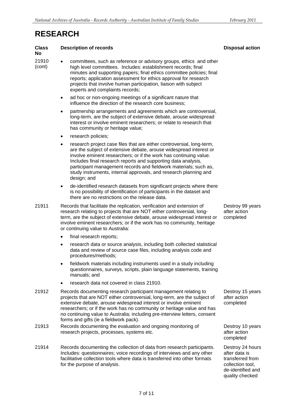## **RESEARCH**

#### 21910 • committees, such as reference or advisory groups, ethics and other (cont) high level committees. Includes: establishment records; final minutes and supporting papers; final ethics committee policies; final reports; application assessment for ethics approval for research projects that involve human participation, liaison with subject • ad hoc or non-ongoing meetings of a significant nature that • partnership arrangements and agreements which are controversial, long-term, are the subject of extensive debate, arouse widespread interest or involve eminent researchers; or relate to research that has community or heritage value; • research project case files that are either controversial, long-term, are the subject of extensive debate, arouse widespread interest or involve eminent researchers; or if the work has continuing value. Includes final research reports and supporting data analysis, participant management records and fieldwork materials; such as, study instruments, internal approvals, and research planning and • de-identified research datasets from significant projects where there is no possibility of identification of participants in the dataset and there are no restrictions on the release data. 21911 Records that facilitate the replication, verification and extension of research relating to projects that are NOT either controversial, long- term, are the subject of extensive debate, arouse widespread interest or involve eminent researchers; or if the work has no community, heritage • final research reports; • research data or source analysis, including both collected statistical data and review of source case files, including analysis code and • fieldwork materials including instruments used in a study including questionnaires, surveys, scripts, plain language statements, training • research data not covered in class 21910. 21912 Records documenting research participant management relating to projects that are NOT either controversial, long-term, are the subject of extensive debate, arouse widespread interest or involve eminent researchers; or if the work has no community or heritage value and has no continuing value to Australia; including pre-interview letters, consent forms and gifts (ie a fieldwork pack). research projects, processes, systems etc. **Class Description of records No**  experts and complaints records; influence the direction of the research core business; • research policies; design; and or continuing value to Australia: procedures/methods; manuals; and 21913 Records documenting the evaluation and ongoing monitoring of

21914 Records documenting the collection of data from research participants. Includes: questionnaires; voice recordings of interviews and any other facilitative collection tools where data is transferred into other formats for the purpose of analysis.

#### Destroy 99 years after action completed

 Destroy 15 years after action completed

 Destroy 10 years after action completed

 Destroy 24 hours after data is transferred from collection tool, de-identified and quality checked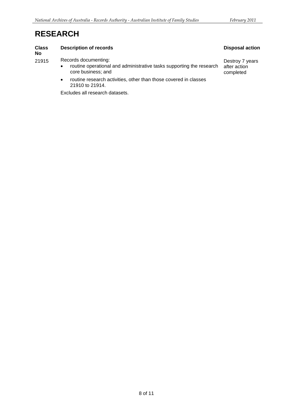## **RESEARCH**

#### **Class Description of records Disposal action Activities** Disposal action

**No** 

21915 Records documenting:

- routine operational and administrative tasks supporting the research after action<br>core business; and completed core business; and
- routine research activities, other than those covered in classes 21910 to 21914.

Excludes all research datasets.

Destroy 7 years<br>after action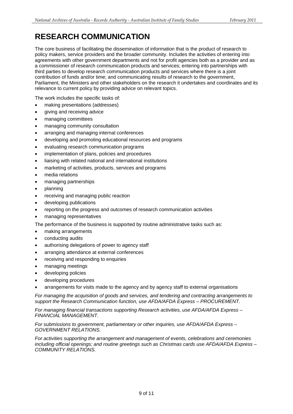## **RESEARCH COMMUNICATION**

 The core business of facilitating the dissemination of information that is the product of research to policy makers, service providers and the broader community. Includes the activities of entering into agreements with other government departments and not for profit agencies both as a provider and as a commissioner of research communication products and services; entering into partnerships with third parties to develop research communication products and services where there is a joint contribution of funds and/or time; and communicating results of research to the government, Parliament, the Ministers and other stakeholders on the research it undertakes and coordinates and its relevance to current policy by providing advice on relevant topics.

The work includes the specific tasks of:

- making presentations (addresses)
- giving and receiving advice
- managing committees
- managing community consultation
- arranging and managing internal conferences
- developing and promoting educational resources and programs
- evaluating research communication programs
- implementation of plans, policies and procedures
- liaising with related national and international institutions
- marketing of activities, products, services and programs
- media relations
- managing partnerships
- planning
- receiving and managing public reaction
- developing publications
- reporting on the progress and outcomes of research communication activities
- managing representatives

The performance of the business is supported by routine administrative tasks such as:

- making arrangements
- conducting audits
- authorising delegations of power to agency staff
- arranging attendance at external conferences
- receiving and responding to enquiries
- managing meetings
- developing policies
- developing procedures
- arrangements for visits made to the agency and by agency staff to external organisations

 *For managing the acquisition of goods and services, and tendering and contracting arrangements to support the Research Communication function, use AFDA/AFDA Express – PROCUREMENT.* 

 *For managing financial transactions supporting Research activities, use AFDA/AFDA Express – FINANCIAL MANAGEMENT.* 

#### *For submissions to government, parliamentary or other inquiries, use AFDA/AFDA Express – GOVERNMENT RELATIONS.*

 *For activities supporting the arrangement and management of events, celebrations and ceremonies including official openings; and routine greetings such as Christmas cards use AFDA/AFDA Express – COMMUNITY RELATIONS.*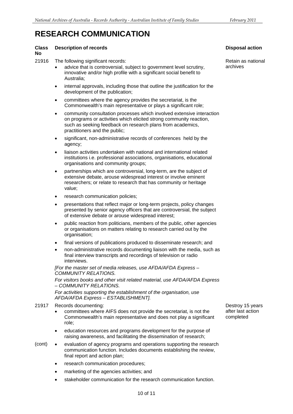### **RESEARCH COMMUNICATION**

#### **Class Description of records**

**No** 

#### 21916 The following significant records:

- advice that is controversial, subject to government level scrutiny, innovative and/or high profile with a significant social benefit to Australia;
- internal approvals, including those that outline the justification for the development of the publication;
- • committees where the agency provides the secretariat, is the Commonwealth's main representative or plays a significant role;
- on programs or activities which elicited strong community reaction, such as seeking feedback on research plans from academics, community consultation processes which involved extensive interaction practitioners and the public;
- • significant, non-administrative records of conferences held by the agency;
- institutions i.e. professional associations, organisations, educational liaison activities undertaken with national and international related organisations and community groups;
- partnerships which are controversial, long-term, are the subject of extensive debate, arouse widespread interest or involve eminent researchers; or relate to research that has community or heritage value;
- research communication policies;
- presentations that reflect major or long-term projects, policy changes presented by senior agency officers that are controversial, the subject of extensive debate or arouse widespread interest;
- • public reaction from politicians, members of the public, other agencies or organisations on matters relating to research carried out by the organisation;
- final versions of publications produced to disseminate research; and
- non-administrative records documenting liaison with the media, such as final interview transcripts and recordings of television or radio interviews.

 *[For the master set of media releases, use AFDA/AFDA Express – COMMUNITY RELATIONS.*

 *For visitors books and other visit related material, use AFDA/AFDA Express – COMMUNITY RELATIONS.* 

 *For activities supporting the establishment of the organisation, use AFDA/AFDA Express – ESTABLISHMENT].* 

#### 21917 Records documenting:

- committees where AIFS does not provide the secretariat, is not the Commonwealth's main representative and does not play a significant role;
- • education resources and programs development for the purpose of raising awareness, and facilitating the dissemination of research;
- (cont) • evaluation of agency programs and operations supporting the research communication function. Includes documents establishing the review, final report and action plan;
	- research communication procedures;
	- • marketing of the agencies activities; and
	- stakeholder communication for the research communication function.

#### **Disposal action**

 Retain as national archives

 Destroy 15 years after last action completed